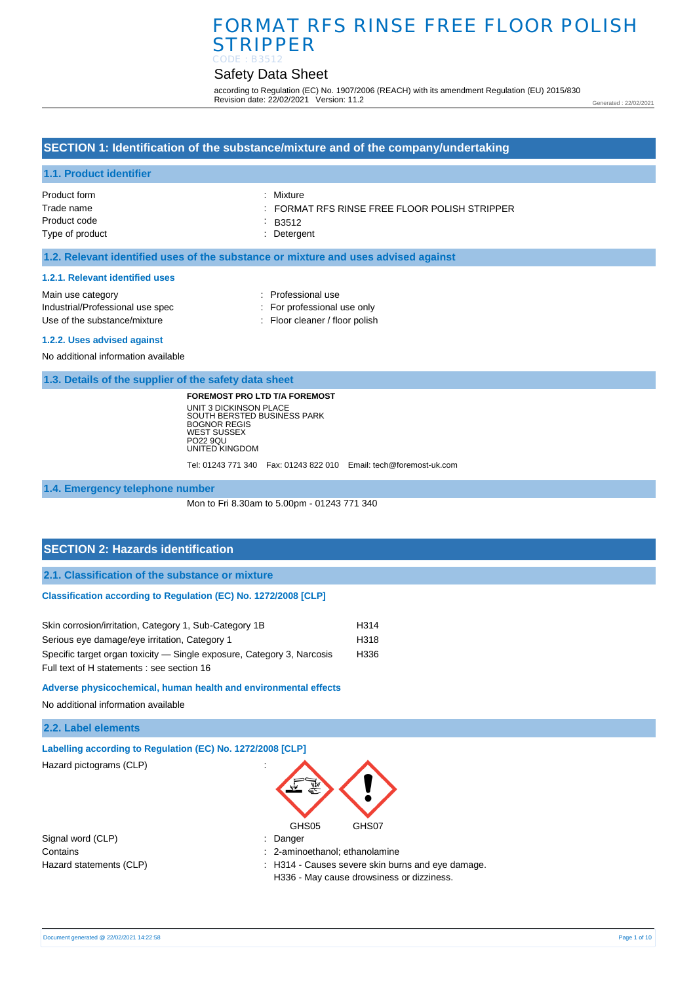# FORMAT RFS RINSE FREE FLOOR POLISH STRIPPER CODE : B3512

# Safety Data Sheet

according to Regulation (EC) No. 1907/2006 (REACH) with its amendment Regulation (EU) 2015/830 Revision date: 22/02/2021 Version: 11.2

Generated : 22/02/2021

### **SECTION 1: Identification of the substance/mixture and of the company/undertaking**

#### **1.1. Product identifier**

| Product form    | : Mixture                                                |
|-----------------|----------------------------------------------------------|
| Trade name      | $\therefore$ FORMAT RFS RINSE FREE FLOOR POLISH STRIPPER |
| Product code    | B3512                                                    |
| Type of product | : Detergent                                              |
|                 |                                                          |

#### **1.2. Relevant identified uses of the substance or mixture and uses advised against**

#### **1.2.1. Relevant identified uses**

| Main use category                | : Professional use             |
|----------------------------------|--------------------------------|
| Industrial/Professional use spec | : For professional use only    |
| Use of the substance/mixture     | : Floor cleaner / floor polish |
| 1.2.2. Uses advised against      |                                |

No additional information available

**1.3. Details of the supplier of the safety data sheet**

**FOREMOST PRO LTD T/A FOREMOST** UNIT 3 DICKINSON PLACE SOUTH BERSTED BUSINESS PARK BOGNOR REGIS WEST SUSSEX PO22 9QU UNITED KINGDOM

Tel: 01243 771 340 Fax: 01243 822 010 Email: tech@foremost-uk.com

**1.4. Emergency telephone number**

Mon to Fri 8.30am to 5.00pm - 01243 771 340

#### **SECTION 2: Hazards identification**

**2.1. Classification of the substance or mixture**

#### **Classification according to Regulation (EC) No. 1272/2008 [CLP]**

| Skin corrosion/irritation, Category 1, Sub-Category 1B                 | H <sub>314</sub> |
|------------------------------------------------------------------------|------------------|
| Serious eye damage/eye irritation, Category 1                          | H318             |
| Specific target organ toxicity — Single exposure, Category 3, Narcosis | H336             |
| Full text of H statements : see section 16                             |                  |

#### **Adverse physicochemical, human health and environmental effects**

No additional information available

#### **2.2. Label elements**

|  | Labelling according to Regulation (EC) No. 1272/2008 [CLP] |  |  |  |
|--|------------------------------------------------------------|--|--|--|
|  |                                                            |  |  |  |

Hazard pictograms (CLP) :

GHS05 GHS07

Signal word (CLP) : Danger

Contains : 2-aminoethanol; ethanolamine

Hazard statements (CLP)  $\qquad \qquad$ : H314 - Causes severe skin burns and eye damage.

H336 - May cause drowsiness or dizziness.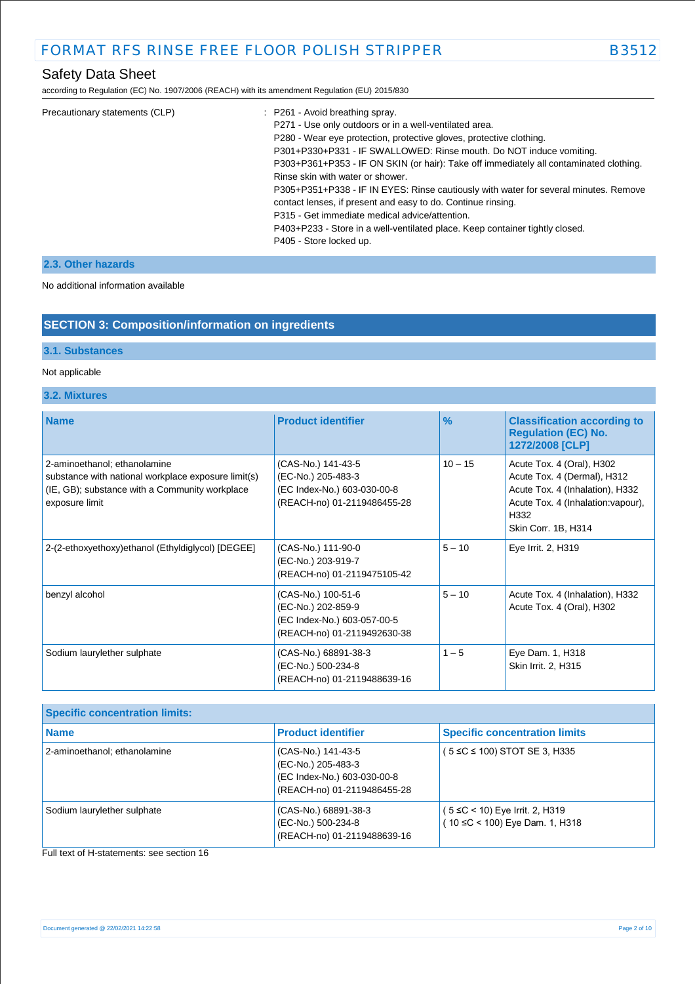according to Regulation (EC) No. 1907/2006 (REACH) with its amendment Regulation (EU) 2015/830

| Precautionary statements (CLP) | : P261 - Avoid breathing spray.                                                        |
|--------------------------------|----------------------------------------------------------------------------------------|
|                                | P271 - Use only outdoors or in a well-ventilated area.                                 |
|                                | P280 - Wear eye protection, protective gloves, protective clothing.                    |
|                                | P301+P330+P331 - IF SWALLOWED: Rinse mouth. Do NOT induce vomiting.                    |
|                                | P303+P361+P353 - IF ON SKIN (or hair): Take off immediately all contaminated clothing. |
|                                | Rinse skin with water or shower.                                                       |
|                                | P305+P351+P338 - IF IN EYES: Rinse cautiously with water for several minutes. Remove   |
|                                | contact lenses, if present and easy to do. Continue rinsing.                           |
|                                | P315 - Get immediate medical advice/attention.                                         |
|                                | P403+P233 - Store in a well-ventilated place. Keep container tightly closed.           |
|                                | P405 - Store locked up.                                                                |
|                                |                                                                                        |

### **2.3. Other hazards**

No additional information available

### **SECTION 3: Composition/information on ingredients**

#### **3.1. Substances**

#### Not applicable

#### **3.2. Mixtures**

| <b>Name</b>                                                                                                                                             | <b>Product identifier</b>                                                                              | $\%$      | <b>Classification according to</b><br><b>Regulation (EC) No.</b><br>1272/2008 [CLP]                                                                              |
|---------------------------------------------------------------------------------------------------------------------------------------------------------|--------------------------------------------------------------------------------------------------------|-----------|------------------------------------------------------------------------------------------------------------------------------------------------------------------|
| 2-aminoethanol; ethanolamine<br>substance with national workplace exposure limit(s)<br>(IE, GB); substance with a Community workplace<br>exposure limit | (CAS-No.) 141-43-5<br>(EC-No.) 205-483-3<br>(EC Index-No.) 603-030-00-8<br>(REACH-no) 01-2119486455-28 | $10 - 15$ | Acute Tox. 4 (Oral), H302<br>Acute Tox. 4 (Dermal), H312<br>Acute Tox. 4 (Inhalation), H332<br>Acute Tox. 4 (Inhalation: vapour),<br>H332<br>Skin Corr. 1B, H314 |
| 2-(2-ethoxyethoxy)ethanol (Ethyldiglycol) [DEGEE]                                                                                                       | (CAS-No.) 111-90-0<br>(EC-No.) 203-919-7<br>(REACH-no) 01-2119475105-42                                | $5 - 10$  | Eye Irrit. 2, H319                                                                                                                                               |
| benzyl alcohol                                                                                                                                          | (CAS-No.) 100-51-6<br>(EC-No.) 202-859-9<br>(EC Index-No.) 603-057-00-5<br>(REACH-no) 01-2119492630-38 | $5 - 10$  | Acute Tox. 4 (Inhalation), H332<br>Acute Tox. 4 (Oral), H302                                                                                                     |
| Sodium laurylether sulphate                                                                                                                             | (CAS-No.) 68891-38-3<br>(EC-No.) 500-234-8<br>(REACH-no) 01-2119488639-16                              | $1 - 5$   | Eye Dam. 1, H318<br>Skin Irrit. 2, H315                                                                                                                          |

| <b>Specific concentration limits:</b> |                                                                                                        |                                                                   |
|---------------------------------------|--------------------------------------------------------------------------------------------------------|-------------------------------------------------------------------|
| <b>Name</b>                           | <b>Product identifier</b>                                                                              | <b>Specific concentration limits</b>                              |
| 2-aminoethanol; ethanolamine          | (CAS-No.) 141-43-5<br>(EC-No.) 205-483-3<br>(EC Index-No.) 603-030-00-8<br>(REACH-no) 01-2119486455-28 | (5 ≤C ≤ 100) STOT SE 3, H335                                      |
| Sodium laurylether sulphate           | (CAS-No.) 68891-38-3<br>(EC-No.) 500-234-8<br>(REACH-no) 01-2119488639-16                              | ( 5 ≤C < 10) Eye Irrit. 2, H319<br>(10 ≤C < 100) Eye Dam. 1, H318 |

Full text of H-statements: see section 16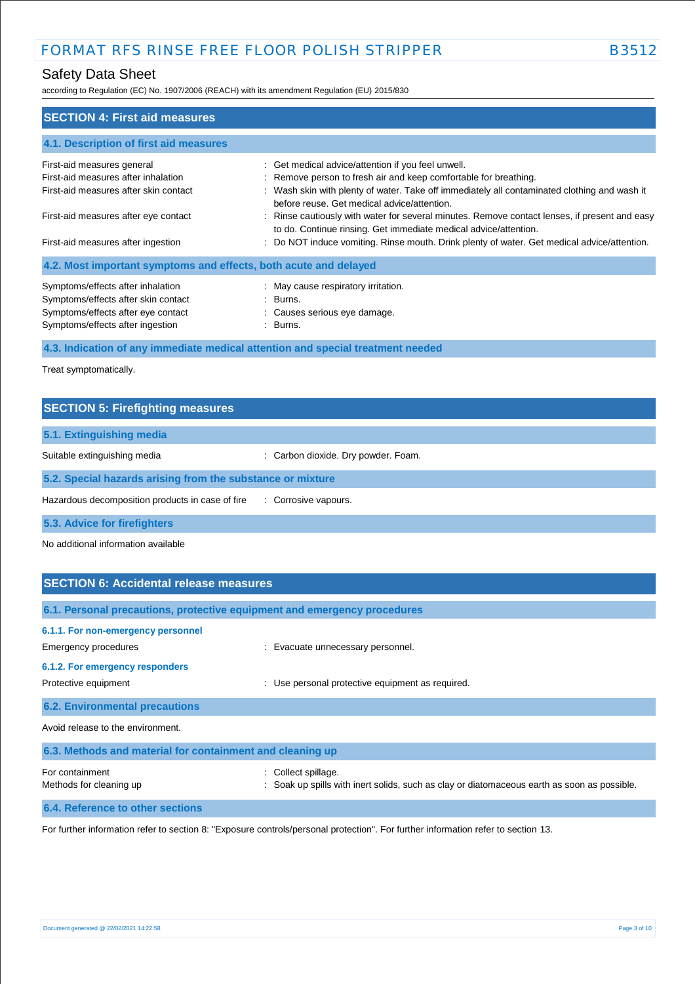according to Regulation (EC) No. 1907/2006 (REACH) with its amendment Regulation (EU) 2015/830

| <b>SECTION 4: First aid measures</b>                                                                                                               |                                                                                                                                                                                                                                                                       |
|----------------------------------------------------------------------------------------------------------------------------------------------------|-----------------------------------------------------------------------------------------------------------------------------------------------------------------------------------------------------------------------------------------------------------------------|
| 4.1. Description of first aid measures                                                                                                             |                                                                                                                                                                                                                                                                       |
| First-aid measures general<br>First-aid measures after inhalation<br>First-aid measures after skin contact                                         | : Get medical advice/attention if you feel unwell.<br>: Remove person to fresh air and keep comfortable for breathing.<br>: Wash skin with plenty of water. Take off immediately all contaminated clothing and wash it<br>before reuse. Get medical advice/attention. |
| First-aid measures after eye contact<br>First-aid measures after ingestion                                                                         | : Rinse cautiously with water for several minutes. Remove contact lenses, if present and easy<br>to do. Continue rinsing. Get immediate medical advice/attention.<br>: Do NOT induce vomiting. Rinse mouth. Drink plenty of water. Get medical advice/attention.      |
| 4.2. Most important symptoms and effects, both acute and delayed                                                                                   |                                                                                                                                                                                                                                                                       |
| Symptoms/effects after inhalation<br>Symptoms/effects after skin contact<br>Symptoms/effects after eye contact<br>Symptoms/effects after ingestion | : May cause respiratory irritation.<br>$\therefore$ Burns.<br>: Causes serious eye damage.<br>$\therefore$ Burns.                                                                                                                                                     |

**4.3. Indication of any immediate medical attention and special treatment needed**

Treat symptomatically.

| <b>SECTION 5: Firefighting measures</b>                    |                                     |
|------------------------------------------------------------|-------------------------------------|
| 5.1. Extinguishing media                                   |                                     |
| Suitable extinguishing media                               | : Carbon dioxide. Dry powder. Foam. |
| 5.2. Special hazards arising from the substance or mixture |                                     |
| Hazardous decomposition products in case of fire           | : Corrosive vapours.                |
| 5.3. Advice for firefighters                               |                                     |

No additional information available

| <b>SECTION 6: Accidental release measures</b>                            |                                                                                                                    |  |
|--------------------------------------------------------------------------|--------------------------------------------------------------------------------------------------------------------|--|
| 6.1. Personal precautions, protective equipment and emergency procedures |                                                                                                                    |  |
| 6.1.1. For non-emergency personnel<br>Emergency procedures               | : Evacuate unnecessary personnel.                                                                                  |  |
| 6.1.2. For emergency responders<br>Protective equipment                  | Use personal protective equipment as required.                                                                     |  |
| <b>6.2. Environmental precautions</b>                                    |                                                                                                                    |  |
| Avoid release to the environment.                                        |                                                                                                                    |  |
| 6.3. Methods and material for containment and cleaning up                |                                                                                                                    |  |
| For containment<br>Methods for cleaning up                               | : Collect spillage.<br>: Soak up spills with inert solids, such as clay or diatomaceous earth as soon as possible. |  |

**6.4. Reference to other sections**

For further information refer to section 8: "Exposure controls/personal protection". For further information refer to section 13.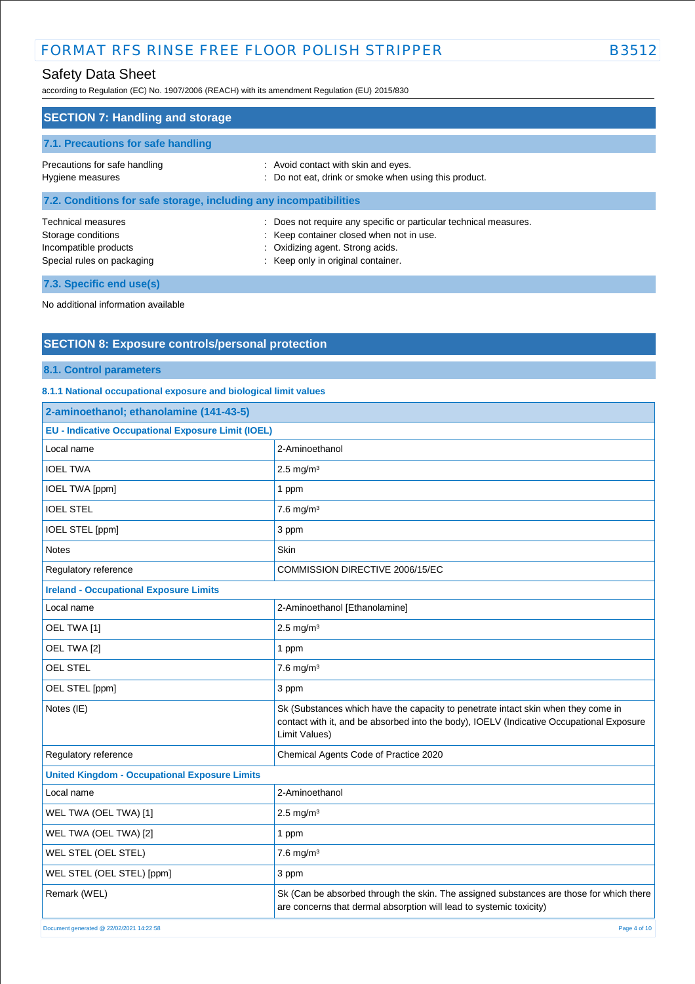# FORMAT RFS RINSE FREE FLOOR POLISH STRIPPER B3512

# Safety Data Sheet

according to Regulation (EC) No. 1907/2006 (REACH) with its amendment Regulation (EU) 2015/830

| <b>SECTION 7: Handling and storage</b>                                                                 |                                                                                                                                                                                         |
|--------------------------------------------------------------------------------------------------------|-----------------------------------------------------------------------------------------------------------------------------------------------------------------------------------------|
| 7.1. Precautions for safe handling                                                                     |                                                                                                                                                                                         |
| Precautions for safe handling<br>Hygiene measures                                                      | : Avoid contact with skin and eyes.<br>: Do not eat, drink or smoke when using this product.                                                                                            |
| 7.2. Conditions for safe storage, including any incompatibilities                                      |                                                                                                                                                                                         |
| <b>Technical measures</b><br>Storage conditions<br>Incompatible products<br>Special rules on packaging | : Does not require any specific or particular technical measures.<br>: Keep container closed when not in use.<br>: Oxidizing agent. Strong acids.<br>: Keep only in original container. |

**7.3. Specific end use(s)**

No additional information available

### **SECTION 8: Exposure controls/personal protection**

#### **8.1. Control parameters**

**8.1.1 National occupational exposure and biological limit values** 

| 2-aminoethanol; ethanolamine (141-43-5)                   |                                                                                                                                                                                                |  |
|-----------------------------------------------------------|------------------------------------------------------------------------------------------------------------------------------------------------------------------------------------------------|--|
| <b>EU - Indicative Occupational Exposure Limit (IOEL)</b> |                                                                                                                                                                                                |  |
| Local name                                                | 2-Aminoethanol                                                                                                                                                                                 |  |
| <b>IOEL TWA</b>                                           | $2.5 \text{ mg/m}^3$                                                                                                                                                                           |  |
| <b>IOEL TWA [ppm]</b>                                     | 1 ppm                                                                                                                                                                                          |  |
| <b>IOEL STEL</b>                                          | $7.6$ mg/m <sup>3</sup>                                                                                                                                                                        |  |
| IOEL STEL [ppm]                                           | 3 ppm                                                                                                                                                                                          |  |
| <b>Notes</b>                                              | <b>Skin</b>                                                                                                                                                                                    |  |
| Regulatory reference                                      | COMMISSION DIRECTIVE 2006/15/EC                                                                                                                                                                |  |
| <b>Ireland - Occupational Exposure Limits</b>             |                                                                                                                                                                                                |  |
| Local name                                                | 2-Aminoethanol [Ethanolamine]                                                                                                                                                                  |  |
| OEL TWA [1]                                               | $2.5$ mg/m <sup>3</sup>                                                                                                                                                                        |  |
| OEL TWA [2]                                               | 1 ppm                                                                                                                                                                                          |  |
| OEL STEL                                                  | $7.6$ mg/m $3$                                                                                                                                                                                 |  |
| OEL STEL [ppm]                                            | 3 ppm                                                                                                                                                                                          |  |
| Notes (IE)                                                | Sk (Substances which have the capacity to penetrate intact skin when they come in<br>contact with it, and be absorbed into the body), IOELV (Indicative Occupational Exposure<br>Limit Values) |  |
| Regulatory reference                                      | Chemical Agents Code of Practice 2020                                                                                                                                                          |  |
| <b>United Kingdom - Occupational Exposure Limits</b>      |                                                                                                                                                                                                |  |
| Local name                                                | 2-Aminoethanol                                                                                                                                                                                 |  |
| WEL TWA (OEL TWA) [1]                                     | $2.5$ mg/m <sup>3</sup>                                                                                                                                                                        |  |
| WEL TWA (OEL TWA) [2]                                     | 1 ppm                                                                                                                                                                                          |  |
| WEL STEL (OEL STEL)                                       | $7.6$ mg/m <sup>3</sup>                                                                                                                                                                        |  |
| WEL STEL (OEL STEL) [ppm]                                 | 3 ppm                                                                                                                                                                                          |  |
| Remark (WEL)                                              | Sk (Can be absorbed through the skin. The assigned substances are those for which there<br>are concerns that dermal absorption will lead to systemic toxicity)                                 |  |
| Document generated @ 22/02/2021 14:22:58                  | Page 4 of 10                                                                                                                                                                                   |  |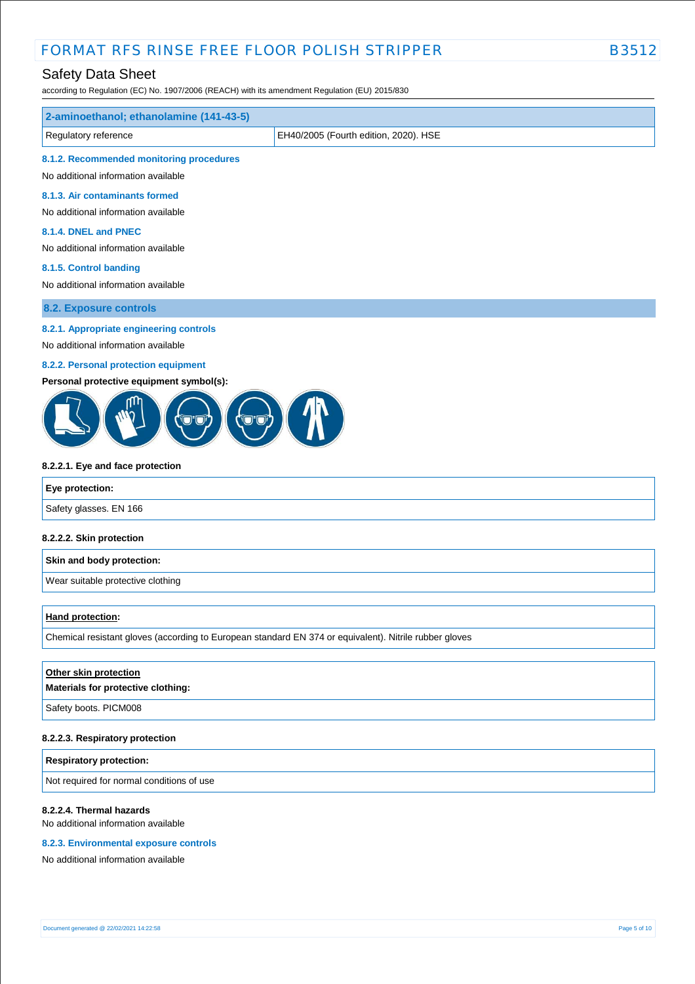# FORMAT RFS RINSE FREE FLOOR POLISH STRIPPER B3512

# Safety Data Sheet

according to Regulation (EC) No. 1907/2006 (REACH) with its amendment Regulation (EU) 2015/830

| 2-aminoethanol; ethanolamine (141-43-5)                                                                |                                       |  |  |
|--------------------------------------------------------------------------------------------------------|---------------------------------------|--|--|
| Regulatory reference                                                                                   | EH40/2005 (Fourth edition, 2020). HSE |  |  |
| 8.1.2. Recommended monitoring procedures                                                               |                                       |  |  |
| No additional information available                                                                    |                                       |  |  |
| 8.1.3. Air contaminants formed                                                                         |                                       |  |  |
| No additional information available                                                                    |                                       |  |  |
| 8.1.4. DNEL and PNEC                                                                                   |                                       |  |  |
| No additional information available                                                                    |                                       |  |  |
| 8.1.5. Control banding<br>No additional information available                                          |                                       |  |  |
|                                                                                                        |                                       |  |  |
| 8.2. Exposure controls                                                                                 |                                       |  |  |
| 8.2.1. Appropriate engineering controls                                                                |                                       |  |  |
| No additional information available                                                                    |                                       |  |  |
| 8.2.2. Personal protection equipment                                                                   |                                       |  |  |
| Personal protective equipment symbol(s):                                                               |                                       |  |  |
| 8.2.2.1. Eye and face protection                                                                       |                                       |  |  |
| Eye protection:                                                                                        |                                       |  |  |
| Safety glasses. EN 166                                                                                 |                                       |  |  |
| 8.2.2.2. Skin protection                                                                               |                                       |  |  |
| Skin and body protection:                                                                              |                                       |  |  |
| Wear suitable protective clothing                                                                      |                                       |  |  |
| <b>Hand protection:</b>                                                                                |                                       |  |  |
| Chemical resistant gloves (according to European standard EN 374 or equivalent). Nitrile rubber gloves |                                       |  |  |
|                                                                                                        |                                       |  |  |
| Other skin protection<br>Materials for protective clothing:                                            |                                       |  |  |
| Safety boots. PICM008                                                                                  |                                       |  |  |
| 8.2.2.3. Respiratory protection                                                                        |                                       |  |  |
| <b>Respiratory protection:</b>                                                                         |                                       |  |  |
| Not required for normal conditions of use                                                              |                                       |  |  |
| 8.2.2.4. Thermal hazards<br>No additional information available                                        |                                       |  |  |

#### **8.2.3. Environmental exposure controls**

No additional information available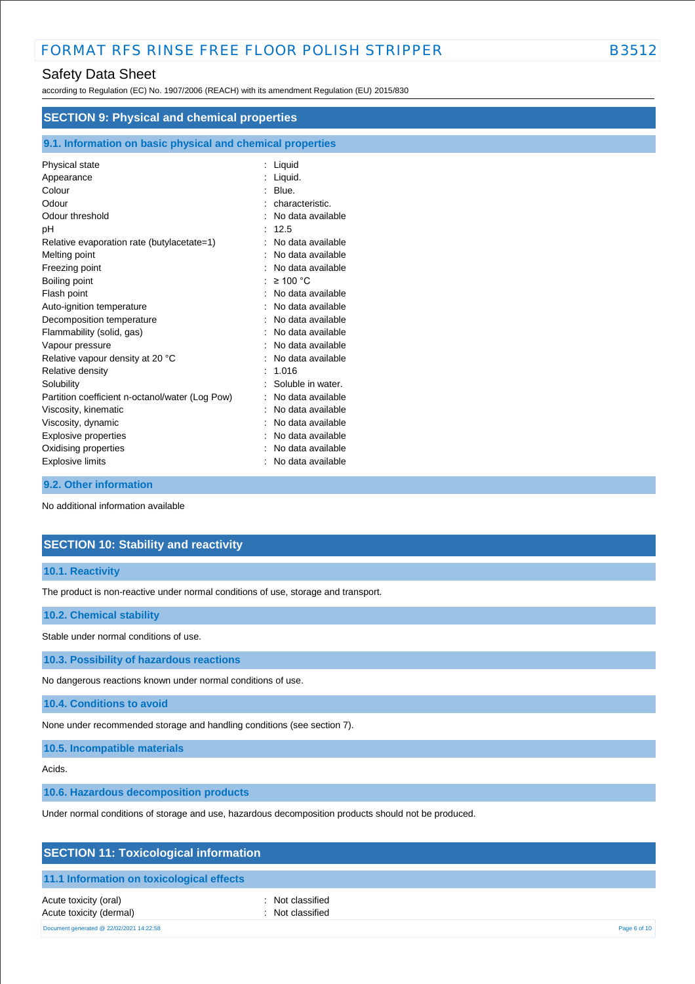according to Regulation (EC) No. 1907/2006 (REACH) with its amendment Regulation (EU) 2015/830

| <b>SECTION 9: Physical and chemical properties</b> |                                                            |  |  |  |
|----------------------------------------------------|------------------------------------------------------------|--|--|--|
|                                                    | 9.1. Information on basic physical and chemical properties |  |  |  |
| Physical state                                     | : Liquid                                                   |  |  |  |
| Appearance                                         | : Liquid.                                                  |  |  |  |
| Colour                                             | Blue.                                                      |  |  |  |
| Odour                                              | characteristic.                                            |  |  |  |
| Odour threshold                                    | No data available                                          |  |  |  |
| рH                                                 | 12.5                                                       |  |  |  |
| Relative evaporation rate (butylacetate=1)         | No data available                                          |  |  |  |
| Melting point                                      | No data available                                          |  |  |  |
| Freezing point                                     | No data available                                          |  |  |  |
| Boiling point                                      | $\geq$ 100 °C                                              |  |  |  |
| Flash point                                        | No data available                                          |  |  |  |
| Auto-ignition temperature                          | No data available                                          |  |  |  |
| Decomposition temperature                          | No data available                                          |  |  |  |
| Flammability (solid, gas)                          | No data available                                          |  |  |  |
| Vapour pressure                                    | No data available                                          |  |  |  |
| Relative vapour density at 20 °C                   | No data available                                          |  |  |  |
| Relative density                                   | 1.016                                                      |  |  |  |
| Solubility                                         | Soluble in water.                                          |  |  |  |
| Partition coefficient n-octanol/water (Log Pow)    | No data available                                          |  |  |  |
| Viscosity, kinematic                               | No data available                                          |  |  |  |
| Viscosity, dynamic                                 | No data available                                          |  |  |  |
| <b>Explosive properties</b>                        | No data available                                          |  |  |  |
| Oxidising properties                               | No data available                                          |  |  |  |
| <b>Explosive limits</b>                            | No data available                                          |  |  |  |

#### **9.2. Other information**

No additional information available

### **SECTION 10: Stability and reactivity**

#### **10.1. Reactivity**

The product is non-reactive under normal conditions of use, storage and transport.

#### **10.2. Chemical stability**

Stable under normal conditions of use.

**10.3. Possibility of hazardous reactions**

No dangerous reactions known under normal conditions of use.

**10.4. Conditions to avoid**

None under recommended storage and handling conditions (see section 7).

**10.5. Incompatible materials**

Acids.

**10.6. Hazardous decomposition products**

Under normal conditions of storage and use, hazardous decomposition products should not be produced.

| <b>SECTION 11: Toxicological information</b>     |                                      |              |
|--------------------------------------------------|--------------------------------------|--------------|
| 11.1 Information on toxicological effects        |                                      |              |
| Acute toxicity (oral)<br>Acute toxicity (dermal) | : Not classified<br>: Not classified |              |
| Document generated @ 22/02/2021 14:22:58         |                                      | Page 6 of 10 |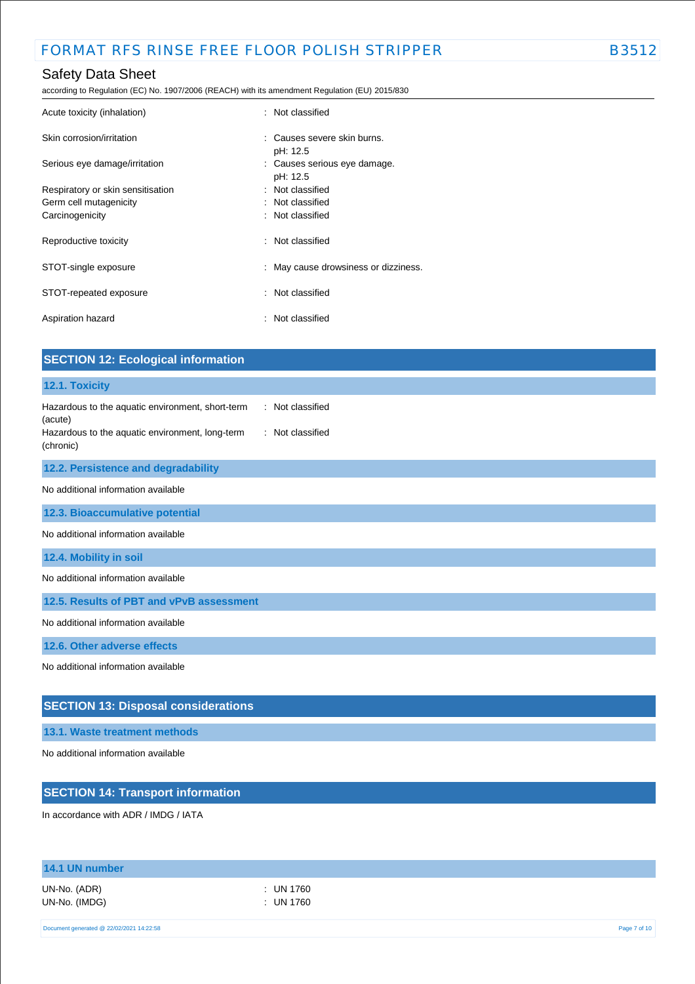according to Regulation (EC) No. 1907/2006 (REACH) with its amendment Regulation (EU) 2015/830

| Acute toxicity (inhalation)               | : Not classified                         |
|-------------------------------------------|------------------------------------------|
| Skin corrosion/irritation                 | : Causes severe skin burns.<br>pH: 12.5  |
| Serious eye damage/irritation             | : Causes serious eye damage.<br>pH: 12.5 |
| Respiratory or skin sensitisation         | : Not classified                         |
| Germ cell mutagenicity<br>Carcinogenicity | : Not classified<br>: Not classified     |
| Reproductive toxicity                     | : Not classified                         |
| STOT-single exposure                      | : May cause drowsiness or dizziness.     |
| STOT-repeated exposure                    | : Not classified                         |
| Aspiration hazard                         | : Not classified                         |

| <b>SECTION 12: Ecological information</b>                                                                                                                           |
|---------------------------------------------------------------------------------------------------------------------------------------------------------------------|
| 12.1. Toxicity                                                                                                                                                      |
| Hazardous to the aquatic environment, short-term<br>: Not classified<br>(acute)<br>Hazardous to the aquatic environment, long-term<br>: Not classified<br>(chronic) |
| 12.2. Persistence and degradability                                                                                                                                 |
| No additional information available                                                                                                                                 |
| 12.3. Bioaccumulative potential                                                                                                                                     |
| No additional information available                                                                                                                                 |
| 12.4. Mobility in soil                                                                                                                                              |
| No additional information available                                                                                                                                 |
| 12.5. Results of PBT and vPvB assessment                                                                                                                            |
| No additional information available                                                                                                                                 |
| 12.6. Other adverse effects                                                                                                                                         |
| No additional information available                                                                                                                                 |
| <b>SECTION 13: Disposal considerations</b>                                                                                                                          |
| 13.1. Waste treatment methods                                                                                                                                       |
| No additional information available                                                                                                                                 |

# **SECTION 14: Transport information**

In accordance with ADR / IMDG / IATA

| 14.1 UN number                |                        |  |
|-------------------------------|------------------------|--|
| UN-No. (ADR)<br>UN-No. (IMDG) | : UN 1760<br>: UN 1760 |  |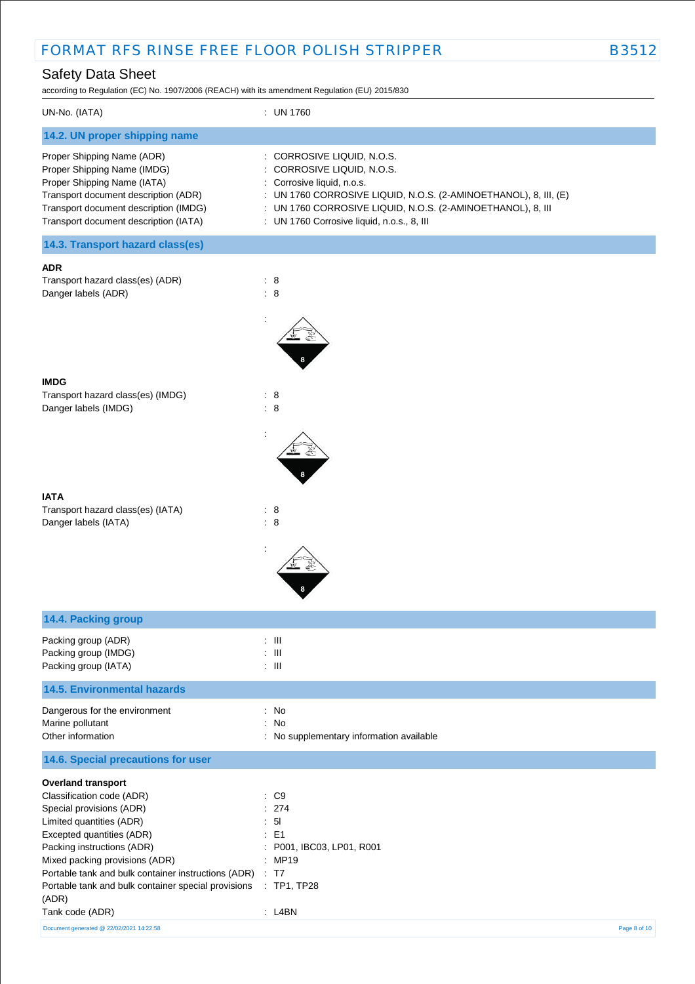according to Regulation (EC) No. 1907/2006 (REACH) with its amendment Regulation (EU) 2015/830

| UN-No. (IATA)                                                                                                                                                                                                      | : UN 1760                                                                                                                                                                                                                                                               |
|--------------------------------------------------------------------------------------------------------------------------------------------------------------------------------------------------------------------|-------------------------------------------------------------------------------------------------------------------------------------------------------------------------------------------------------------------------------------------------------------------------|
| 14.2. UN proper shipping name                                                                                                                                                                                      |                                                                                                                                                                                                                                                                         |
| Proper Shipping Name (ADR)<br>Proper Shipping Name (IMDG)<br>Proper Shipping Name (IATA)<br>Transport document description (ADR)<br>Transport document description (IMDG)<br>Transport document description (IATA) | : CORROSIVE LIQUID, N.O.S.<br>: CORROSIVE LIQUID, N.O.S.<br>: Corrosive liquid, n.o.s.<br>: UN 1760 CORROSIVE LIQUID, N.O.S. (2-AMINOETHANOL), 8, III, (E)<br>: UN 1760 CORROSIVE LIQUID, N.O.S. (2-AMINOETHANOL), 8, III<br>: UN 1760 Corrosive liquid, n.o.s., 8, III |
| 14.3. Transport hazard class(es)                                                                                                                                                                                   |                                                                                                                                                                                                                                                                         |

#### **ADR**

| Transport hazard class(es) (ADR) |  |
|----------------------------------|--|
| Danger labels (ADR)              |  |



:

# **IMDG**

Transport hazard class(es) (IMDG) : 8 Danger labels (IMDG) : 8

### **IATA** Transport hazard class(es) (IATA) : 8

Danger labels (IATA) : 8



| 14.4. Packing group                                                                                                                                                                                         |                                                                                            |
|-------------------------------------------------------------------------------------------------------------------------------------------------------------------------------------------------------------|--------------------------------------------------------------------------------------------|
| Packing group (ADR)<br>Packing group (IMDG)<br>Packing group (IATA)                                                                                                                                         | $\therefore$ $\blacksquare$<br>$\pm$ 111<br>$\therefore$ $\blacksquare$                    |
| <b>14.5. Environmental hazards</b>                                                                                                                                                                          |                                                                                            |
| Dangerous for the environment<br>Marine pollutant<br>Other information                                                                                                                                      | : No<br>: No<br>: No supplementary information available                                   |
| 14.6. Special precautions for user                                                                                                                                                                          |                                                                                            |
| <b>Overland transport</b><br>Classification code (ADR)<br>Special provisions (ADR)<br>Limited quantities (ADR)<br>Excepted quantities (ADR)<br>Packing instructions (ADR)<br>Mixed packing provisions (ADR) | $\therefore$ C9<br>: 274<br>: 51<br>$\therefore$ E1<br>: P001, IBC03, LP01, R001<br>: MP19 |
| Portable tank and bulk container instructions (ADR) : T7                                                                                                                                                    |                                                                                            |

Document generated @ 22/02/2021 14:22:58 Page 8 of 10

(ADR)

Portable tank and bulk container special provisions : TP1, TP28

Tank code (ADR) : L4BN : L4BN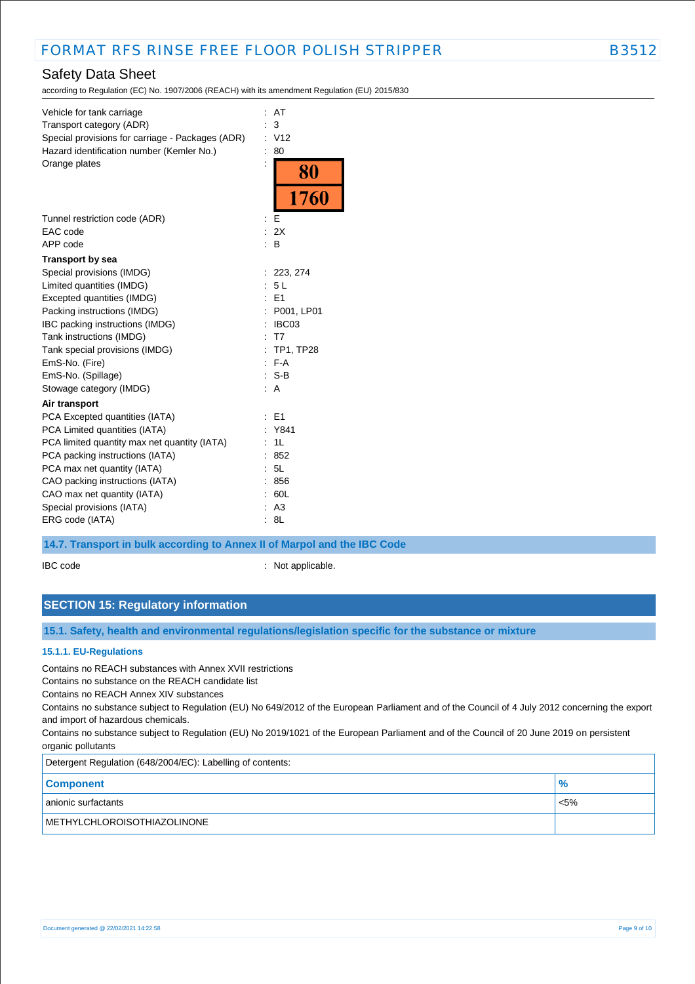according to Regulation (EC) No. 1907/2006 (REACH) with its amendment Regulation (EU) 2015/830

| Vehicle for tank carriage<br>Transport category (ADR)<br>Special provisions for carriage - Packages (ADR)<br>Hazard identification number (Kemler No.)<br>Orange plates                                                                                                                             | ÷.<br>$\ddot{\phantom{a}}$ | AT<br>3<br>V <sub>12</sub><br>80<br>$\frac{80}{1760}$                                                        |
|-----------------------------------------------------------------------------------------------------------------------------------------------------------------------------------------------------------------------------------------------------------------------------------------------------|----------------------------|--------------------------------------------------------------------------------------------------------------|
| Tunnel restriction code (ADR)<br>EAC code<br>APP code                                                                                                                                                                                                                                               | ÷                          | E<br>: 2X<br>B                                                                                               |
| <b>Transport by sea</b>                                                                                                                                                                                                                                                                             |                            |                                                                                                              |
| Special provisions (IMDG)<br>Limited quantities (IMDG)<br>Excepted quantities (IMDG)<br>Packing instructions (IMDG)<br>IBC packing instructions (IMDG)<br>Tank instructions (IMDG)<br>Tank special provisions (IMDG)<br>EmS-No. (Fire)<br>EmS-No. (Spillage)<br>Stowage category (IMDG)             | ÷                          | : 223, 274<br>5L<br>$E = 1$<br>: P001, LP01<br>: IBCO3<br>: T7<br>: TP1, TP28<br>$E - F - A$<br>$: S-B$<br>A |
| Air transport                                                                                                                                                                                                                                                                                       |                            |                                                                                                              |
| PCA Excepted quantities (IATA)<br>PCA Limited quantities (IATA)<br>PCA limited quantity max net quantity (IATA)<br>PCA packing instructions (IATA)<br>PCA max net quantity (IATA)<br>CAO packing instructions (IATA)<br>CAO max net quantity (IATA)<br>Special provisions (IATA)<br>ERG code (IATA) |                            | E <sub>1</sub><br>Y841<br>1L<br>852<br>5L<br>856<br>60L<br>: A3<br>8L                                        |
|                                                                                                                                                                                                                                                                                                     |                            |                                                                                                              |

### **14.7. Transport in bulk according to Annex II of Marpol and the IBC Code**

IBC code : Not applicable.

# **SECTION 15: Regulatory information**

**15.1. Safety, health and environmental regulations/legislation specific for the substance or mixture**

#### **15.1.1. EU-Regulations**

Contains no REACH substances with Annex XVII restrictions

Contains no substance on the REACH candidate list

Contains no REACH Annex XIV substances

Contains no substance subject to Regulation (EU) No 649/2012 of the European Parliament and of the Council of 4 July 2012 concerning the export and import of hazardous chemicals.

Contains no substance subject to Regulation (EU) No 2019/1021 of the European Parliament and of the Council of 20 June 2019 on persistent organic pollutants

| Detergent Regulation (648/2004/EC): Labelling of contents: |               |  |  |
|------------------------------------------------------------|---------------|--|--|
| <b>Component</b>                                           | $\frac{1}{2}$ |  |  |
| anionic surfactants                                        | $< 5\%$       |  |  |
| METHYLCHLOROISOTHIAZOLINONE                                |               |  |  |